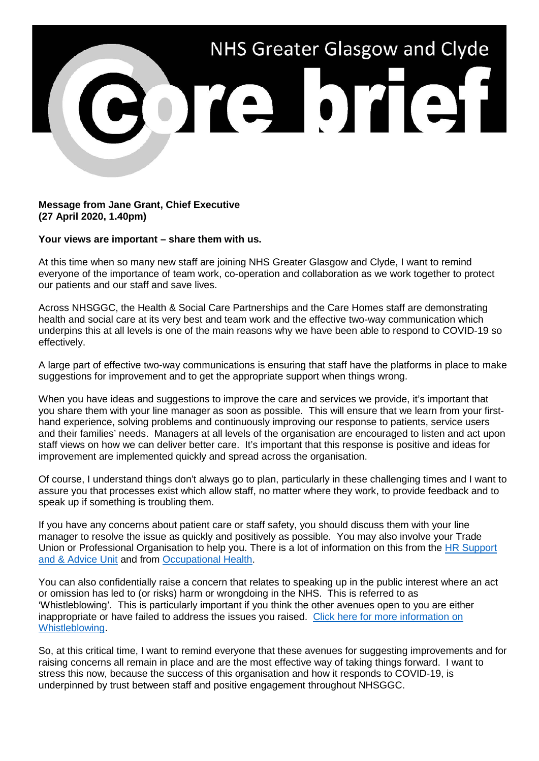

**Message from Jane Grant, Chief Executive (27 April 2020, 1.40pm)**

**Your views are important – share them with us.**

At this time when so many new staff are joining NHS Greater Glasgow and Clyde, I want to remind everyone of the importance of team work, co-operation and collaboration as we work together to protect our patients and our staff and save lives.

Across NHSGGC, the Health & Social Care Partnerships and the Care Homes staff are demonstrating health and social care at its very best and team work and the effective two-way communication which underpins this at all levels is one of the main reasons why we have been able to respond to COVID-19 so effectively.

A large part of effective two-way communications is ensuring that staff have the platforms in place to make suggestions for improvement and to get the appropriate support when things wrong.

When you have ideas and suggestions to improve the care and services we provide, it's important that you share them with your line manager as soon as possible. This will ensure that we learn from your firsthand experience, solving problems and continuously improving our response to patients, service users and their families' needs. Managers at all levels of the organisation are encouraged to listen and act upon staff views on how we can deliver better care. It's important that this response is positive and ideas for improvement are implemented quickly and spread across the organisation.

Of course, I understand things don't always go to plan, particularly in these challenging times and I want to assure you that processes exist which allow staff, no matter where they work, to provide feedback and to speak up if something is troubling them.

If you have any concerns about patient care or staff safety, you should discuss them with your line manager to resolve the issue as quickly and positively as possible. You may also involve your Trade Union or Professional Organisation to help you. There is a lot of information on this from the [HR Support](https://www.nhsggc.org.uk/working-with-us/hr-connect/contact-hr-support-advice-unit/)  [and & Advice Unit](https://www.nhsggc.org.uk/working-with-us/hr-connect/contact-hr-support-advice-unit/) and from [Occupational Health.](https://www.nhsggc.org.uk/working-with-us/hr-connect/occupational-health/)

You can also confidentially raise a concern that relates to speaking up in the public interest where an act or omission has led to (or risks) harm or wrongdoing in the NHS. This is referred to as 'Whistleblowing'. This is particularly important if you think the other avenues open to you are either inappropriate or have failed to address the issues you raised. [Click here for more information on](https://www.nhsggc.org.uk/working-with-us/hr-connect/policies-and-staff-governance/policies/whistleblowing-policy/)  [Whistleblowing.](https://www.nhsggc.org.uk/working-with-us/hr-connect/policies-and-staff-governance/policies/whistleblowing-policy/)

So, at this critical time, I want to remind everyone that these avenues for suggesting improvements and for raising concerns all remain in place and are the most effective way of taking things forward. I want to stress this now, because the success of this organisation and how it responds to COVID-19, is underpinned by trust between staff and positive engagement throughout NHSGGC.